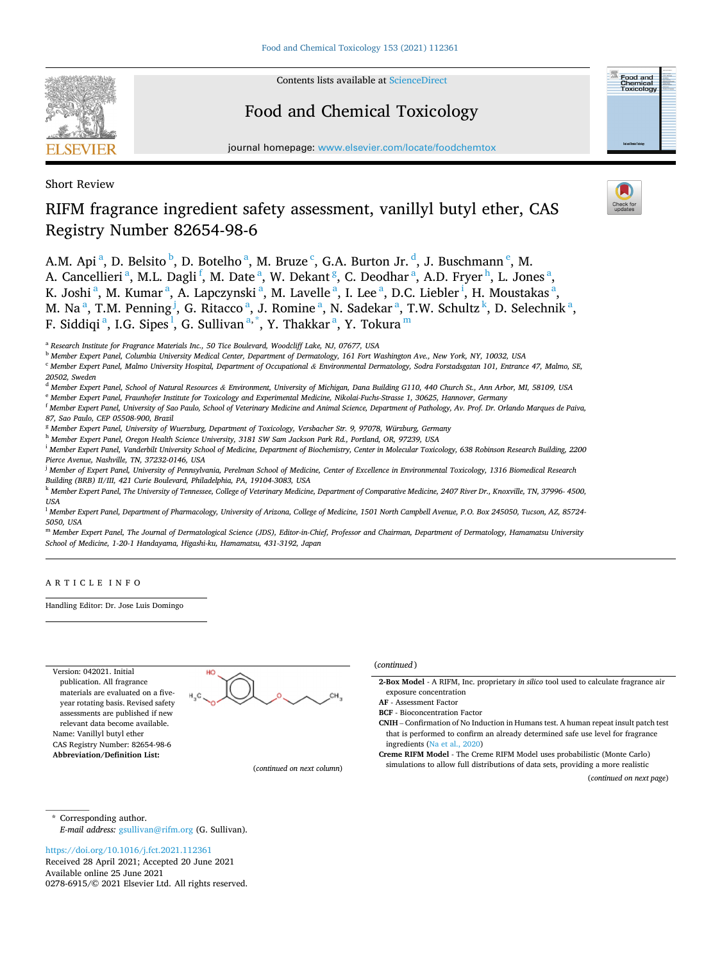

Contents lists available at [ScienceDirect](www.sciencedirect.com/science/journal/02786915)

# Food and Chemical Toxicology

journal homepage: [www.elsevier.com/locate/foodchemtox](https://www.elsevier.com/locate/foodchemtox)

Short Review

# RIFM fragrance ingredient safety assessment, vanillyl butyl ether, CAS Registry Number 82654-98-6

A.M. Api<sup>a</sup>, D. Belsito<sup>b</sup>, D. Botelho<sup>a</sup>, M. Bruze<sup>c</sup>, G.A. Burton Jr.<sup>d</sup>, J. Buschmann<sup>e</sup>, M. A. Cancellieri<sup>a</sup>, M.L. Dagli<sup>f</sup>, M. Date<sup>a</sup>, W. Dekant<sup>g</sup>, C. Deodhar<sup>a</sup>, A.D. Fryer<sup>h</sup>, L. Jones<sup>a</sup>, K. Joshi<sup>a</sup>, M. Kumar<sup>a</sup>, A. Lapczynski<sup>a</sup>, M. Lavelle<sup>a</sup>, I. Lee<sup>a</sup>, D.C. Liebler<sup>i</sup>, H. Moustakas<sup>a</sup>, M. Na<sup>a</sup>, T.M. Penning<sup>j</sup>, G. Ritacco<sup>a</sup>, J. Romine<sup>a</sup>, N. Sadekar<sup>a</sup>, T.W. Schultz<sup>k</sup>, D. Selechnik<sup>a</sup>, F. Siddiqi $^{\rm a}$ , I.G. Sipes $^{\rm l}$ , G. Sullivan $^{\rm a,*}$ , Y. Thakkar $^{\rm a}$ , Y. Tokura $^{\rm m}$ 

- <sup>e</sup> *Member Expert Panel, Fraunhofer Institute for Toxicology and Experimental Medicine, Nikolai-Fuchs-Strasse 1, 30625, Hannover, Germany*
- <sup>f</sup> *Member Expert Panel, University of Sao Paulo, School of Veterinary Medicine and Animal Science, Department of Pathology, Av. Prof. Dr. Orlando Marques de Paiva, 87, Sao Paulo, CEP 05508-900, Brazil*
- <sup>g</sup> *Member Expert Panel, University of Wuerzburg, Department of Toxicology, Versbacher Str. 9, 97078, Würzburg, Germany*

<sup>h</sup> *Member Expert Panel, Oregon Health Science University, 3181 SW Sam Jackson Park Rd., Portland, OR, 97239, USA* 

<sup>i</sup> *Member Expert Panel, Vanderbilt University School of Medicine, Department of Biochemistry, Center in Molecular Toxicology, 638 Robinson Research Building, 2200 Pierce Avenue, Nashville, TN, 37232-0146, USA* 

<sup>j</sup> *Member of Expert Panel, University of Pennsylvania, Perelman School of Medicine, Center of Excellence in Environmental Toxicology, 1316 Biomedical Research Building (BRB) II/III, 421 Curie Boulevard, Philadelphia, PA, 19104-3083, USA* 

<sup>k</sup> *Member Expert Panel, The University of Tennessee, College of Veterinary Medicine, Department of Comparative Medicine, 2407 River Dr., Knoxville, TN, 37996- 4500, USA* 

<sup>l</sup> *Member Expert Panel, Department of Pharmacology, University of Arizona, College of Medicine, 1501 North Campbell Avenue, P.O. Box 245050, Tucson, AZ, 85724- 5050, USA* 

<sup>m</sup> *Member Expert Panel, The Journal of Dermatological Science (JDS), Editor-in-Chief, Professor and Chairman, Department of Dermatology, Hamamatsu University School of Medicine, 1-20-1 Handayama, Higashi-ku, Hamamatsu, 431-3192, Japan* 

## ARTICLE INFO

Handling Editor: Dr. Jose Luis Domingo

Version: 042021. Initial publication. All fragrance materials are evaluated on a fiveyear rotating basis. Revised safety assessments are published if new relevant data become available. Name: Vanillyl butyl ether CAS Registry Number: 82654-98-6 **Abbreviation/Definition List:** 



(*continued on next column*)

#### (*continued* )

**2-Box Model** - A RIFM, Inc. proprietary *in silico* tool used to calculate fragrance air exposure concentration

**AF** - Assessment Factor

**BCF** - Bioconcentration Factor

**CNIH** – Confirmation of No Induction in Humans test. A human repeat insult patch test that is performed to confirm an already determined safe use level for fragrance ingredients [\(Na et al., 2020](#page-8-0))

**Creme RIFM Model** - The Creme RIFM Model uses probabilistic (Monte Carlo) simulations to allow full distributions of data sets, providing a more realistic

(*continued on next page*)

\* Corresponding author. *E-mail address:* [gsullivan@rifm.org](mailto:gsullivan@rifm.org) (G. Sullivan).

## <https://doi.org/10.1016/j.fct.2021.112361>

Available online 25 June 2021 0278-6915/© 2021 Elsevier Ltd. All rights reserved. Received 28 April 2021; Accepted 20 June 2021



Food and<br>Chemical<br>Toxicolog

<sup>a</sup> *Research Institute for Fragrance Materials Inc., 50 Tice Boulevard, Woodcliff Lake, NJ, 07677, USA* 

<sup>b</sup> *Member Expert Panel, Columbia University Medical Center, Department of Dermatology, 161 Fort Washington Ave., New York, NY, 10032, USA* 

<sup>&</sup>lt;sup>c</sup> Member Expert Panel, Malmo University Hospital, Department of Occupational & Environmental Dermatology, Sodra Forstadsgatan 101, Entrance 47, Malmo, SE, *20502, Sweden* 

<sup>d</sup> *Member Expert Panel, School of Natural Resources & Environment, University of Michigan, Dana Building G110, 440 Church St., Ann Arbor, MI, 58109, USA*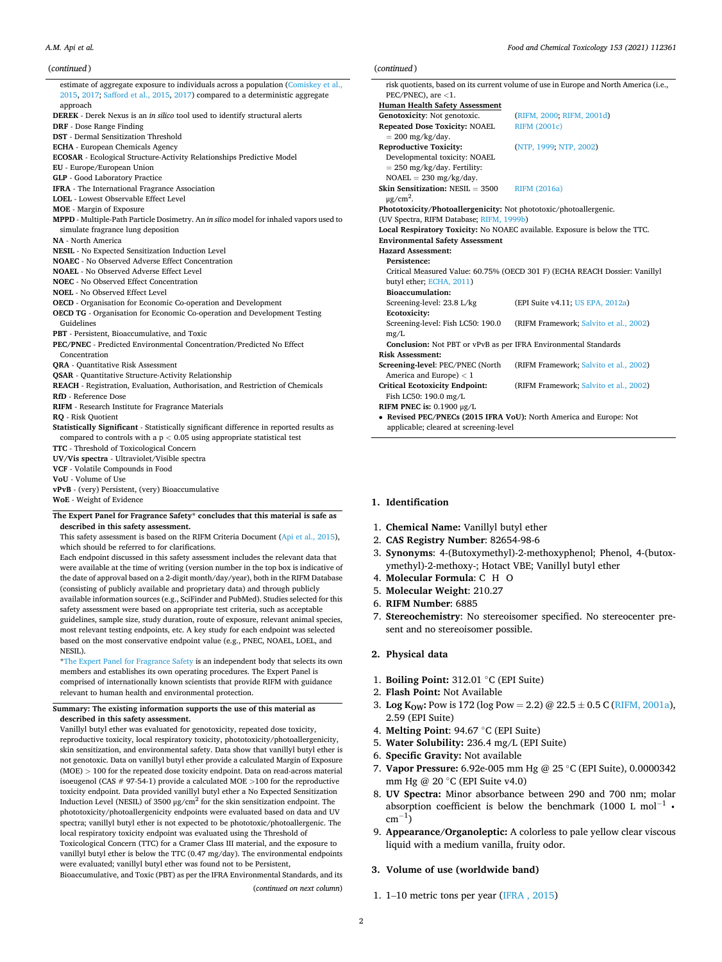#### <span id="page-1-0"></span>(*continued* )

#### estimate of aggregate exposure to individuals across a population ([Comiskey et al.,](#page-7-0)  [2015,](#page-7-0) [2017;](#page-7-0) [Safford et al., 2015](#page-8-0), [2017](#page-8-0)) compared to a deterministic aggregate approach **DEREK** - Derek Nexus is an *in silico* tool used to identify structural alerts **DRF** - Dose Range Finding **DST** - Dermal Sensitization Threshold **ECHA** - European Chemicals Agency **ECOSAR** - Ecological Structure-Activity Relationships Predictive Model **EU** - Europe/European Union **GLP** - Good Laboratory Practice **IFRA** - The International Fragrance Association **LOEL** - Lowest Observable Effect Level **MOE** - Margin of Exposure **MPPD** - Multiple-Path Particle Dosimetry. An *in silico* model for inhaled vapors used to simulate fragrance lung deposition **NA** - North America **NESIL** - No Expected Sensitization Induction Level **NOAEC** - No Observed Adverse Effect Concentration **NOAEL** - No Observed Adverse Effect Level **NOEC** - No Observed Effect Concentration **NOEL** - No Observed Effect Level **OECD** - Organisation for Economic Co-operation and Development **OECD TG** - Organisation for Economic Co-operation and Development Testing Guidelines **PBT** - Persistent, Bioaccumulative, and Toxic **PEC/PNEC** - Predicted Environmental Concentration/Predicted No Effect Concentration **QRA** - Quantitative Risk Assessment **QSAR** - Quantitative Structure-Activity Relationship **REACH** - Registration, Evaluation, Authorisation, and Restriction of Chemicals **RfD** - Reference Dose **RIFM** - Research Institute for Fragrance Materials **RQ** - Risk Quotient **Statistically Significant** - Statistically significant difference in reported results as compared to controls with a p *<* 0.05 using appropriate statistical test **TTC** - Threshold of Toxicological Concern **UV/Vis spectra** - Ultraviolet/Visible spectra **VCF** - Volatile Compounds in Food

**VoU** - Volume of Use

**vPvB** - (very) Persistent, (very) Bioaccumulative

## **WoE** - Weight of Evidence

## **The Expert Panel for Fragrance Safety\* concludes that this material is safe as described in this safety assessment.**

This safety assessment is based on the RIFM Criteria Document [\(Api et al., 2015](#page-7-0)), which should be referred to for clarifications.

Each endpoint discussed in this safety assessment includes the relevant data that were available at the time of writing (version number in the top box is indicative of the date of approval based on a 2-digit month/day/year), both in the RIFM Database (consisting of publicly available and proprietary data) and through publicly available information sources (e.g., SciFinder and PubMed). Studies selected for this safety assessment were based on appropriate test criteria, such as acceptable guidelines, sample size, study duration, route of exposure, relevant animal species, most relevant testing endpoints, etc. A key study for each endpoint was selected based on the most conservative endpoint value (e.g., PNEC, NOAEL, LOEL, and NESIL).

\*[The Expert Panel for Fragrance Safety](http://fragrancesafetypanel.org/) is an independent body that selects its own members and establishes its own operating procedures. The Expert Panel is comprised of internationally known scientists that provide RIFM with guidance relevant to human health and environmental protection.

#### **Summary: The existing information supports the use of this material as described in this safety assessment.**

Vanillyl butyl ether was evaluated for genotoxicity, repeated dose toxicity, reproductive toxicity, local respiratory toxicity, phototoxicity/photoallergenicity, skin sensitization, and environmental safety. Data show that vanillyl butyl ether is not genotoxic. Data on vanillyl butyl ether provide a calculated Margin of Exposure (MOE) *>* 100 for the repeated dose toxicity endpoint. Data on read-across material isoeugenol (CAS # 97-54-1) provide a calculated MOE *>*100 for the reproductive toxicity endpoint. Data provided vanillyl butyl ether a No Expected Sensitization Induction Level (NESIL) of 3500  $\mu$ g/cm<sup>2</sup> for the skin sensitization endpoint. The phototoxicity/photoallergenicity endpoints were evaluated based on data and UV spectra; vanillyl butyl ether is not expected to be phototoxic/photoallergenic. The local respiratory toxicity endpoint was evaluated using the Threshold of Toxicological Concern (TTC) for a Cramer Class III material, and the exposure to vanillyl butyl ether is below the TTC (0.47 mg/day). The environmental endpoints were evaluated; vanillyl butyl ether was found not to be Persistent, Bioaccumulative, and Toxic (PBT) as per the IFRA Environmental Standards, and its

(*continued* )

|                                                                    | risk quotients, based on its current volume of use in Europe and North America (i.e., |  |  |  |
|--------------------------------------------------------------------|---------------------------------------------------------------------------------------|--|--|--|
| PEC/PNEC), are $<1$ .                                              |                                                                                       |  |  |  |
| <b>Human Health Safety Assessment</b>                              |                                                                                       |  |  |  |
| Genotoxicity: Not genotoxic.                                       | (RIFM, 2000; RIFM, 2001d)                                                             |  |  |  |
| <b>Repeated Dose Toxicity: NOAEL</b>                               | <b>RIFM (2001c)</b>                                                                   |  |  |  |
| $= 200$ mg/kg/day.                                                 |                                                                                       |  |  |  |
| <b>Reproductive Toxicity:</b>                                      | (NTP, 1999; NTP, 2002)                                                                |  |  |  |
| Developmental toxicity: NOAEL                                      |                                                                                       |  |  |  |
| $= 250$ mg/kg/day. Fertility:                                      |                                                                                       |  |  |  |
| $NOAEL = 230$ mg/kg/day.                                           |                                                                                       |  |  |  |
| Skin Sensitization: $NESIL = 3500$                                 | <b>RIFM (2016a)</b>                                                                   |  |  |  |
| $\mu$ g/cm <sup>2</sup> .                                          |                                                                                       |  |  |  |
| Phototoxicity/Photoallergenicity: Not phototoxic/photoallergenic.  |                                                                                       |  |  |  |
| (UV Spectra, RIFM Database; RIFM, 1999b)                           |                                                                                       |  |  |  |
|                                                                    | Local Respiratory Toxicity: No NOAEC available. Exposure is below the TTC.            |  |  |  |
| <b>Environmental Safety Assessment</b>                             |                                                                                       |  |  |  |
| <b>Hazard Assessment:</b>                                          |                                                                                       |  |  |  |
| Persistence:                                                       |                                                                                       |  |  |  |
|                                                                    | Critical Measured Value: 60.75% (OECD 301 F) (ECHA REACH Dossier: Vanillyl            |  |  |  |
| butyl ether; ECHA, 2011)                                           |                                                                                       |  |  |  |
| Bioaccumulation:                                                   |                                                                                       |  |  |  |
| Screening-level: 23.8 L/kg                                         | (EPI Suite v4.11; US EPA, 2012a)                                                      |  |  |  |
| Ecotoxicity:                                                       |                                                                                       |  |  |  |
| Screening-level: Fish LC50: 190.0                                  | (RIFM Framework; Salvito et al., 2002)                                                |  |  |  |
| mg/L                                                               |                                                                                       |  |  |  |
| Conclusion: Not PBT or vPvB as per IFRA Environmental Standards    |                                                                                       |  |  |  |
| <b>Risk Assessment:</b>                                            |                                                                                       |  |  |  |
| Screening-level: PEC/PNEC (North                                   | (RIFM Framework; Salvito et al., 2002)                                                |  |  |  |
| America and Europe $) < 1$                                         |                                                                                       |  |  |  |
| <b>Critical Ecotoxicity Endpoint:</b>                              | (RIFM Framework; Salvito et al., 2002)                                                |  |  |  |
| Fish LC50: 190.0 mg/L                                              |                                                                                       |  |  |  |
| RIFM PNEC is: $0.1900 \mu g/L$                                     |                                                                                       |  |  |  |
| • Revised PEC/PNECs (2015 IFRA VoU): North America and Europe: Not |                                                                                       |  |  |  |
| applicable; cleared at screening-level                             |                                                                                       |  |  |  |

# **1. Identification**

- 1. **Chemical Name:** Vanillyl butyl ether
- 2. **CAS Registry Number**: 82654-98-6
- 3. **Synonyms**: 4-(Butoxymethyl)-2-methoxyphenol; Phenol, 4-(butoxymethyl)-2-methoxy-; Hotact VBE; Vanillyl butyl ether
- 4. **Molecular Formula**: C H O
- 5. **Molecular Weight**: 210.27
- 6. **RIFM Number**: 6885
- 7. **Stereochemistry**: No stereoisomer specified. No stereocenter present and no stereoisomer possible.
- **2. Physical data**
- 1. **Boiling Point:** 312.01 ◦C (EPI Suite)
- 2. **Flash Point:** Not Available
- 3. Log  $K_{\text{OW}}$ : Pow is 172 (log Pow = 2.2) @ 22.5  $\pm$  0.5 C [\(RIFM, 2001a](#page-8-0)), 2.59 (EPI Suite)
- 4. **Melting Point**: 94.67 ◦C (EPI Suite)
- 5. **Water Solubility:** 236.4 mg/L (EPI Suite)
- 6. **Specific Gravity:** Not available
- 7. **Vapor Pressure:** 6.92e-005 mm Hg @ 25 ◦C (EPI Suite), 0.0000342 mm Hg @ 20 ◦C (EPI Suite v4.0)
- 8. **UV Spectra:** Minor absorbance between 290 and 700 nm; molar absorption coefficient is below the benchmark (1000 L mol<sup>-1</sup> •  $\text{cm}^{-1}$ )
- 9. **Appearance/Organoleptic:** A colorless to pale yellow clear viscous liquid with a medium vanilla, fruity odor.

## **3. Volume of use (worldwide band)**

1. 1–10 metric tons per year [\(IFRA , 2015\)](#page-8-0)

(*continued on next column*)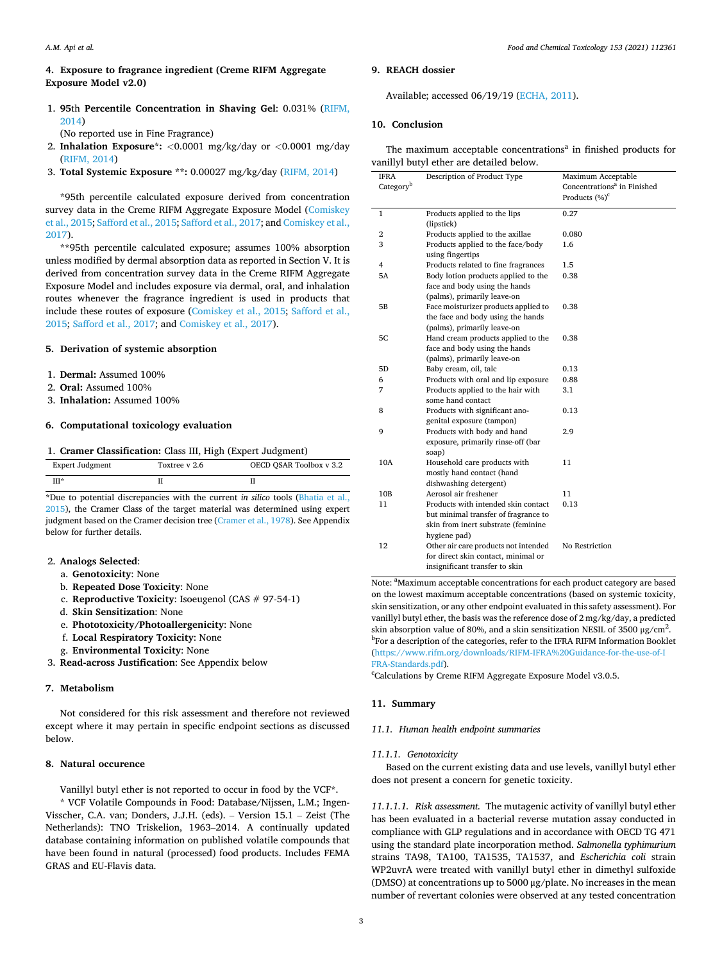# **4. Exposure to fragrance ingredient (Creme RIFM Aggregate Exposure Model v2.0)**

1. **95**th **Percentile Concentration in Shaving Gel**: 0.031% [\(RIFM,](#page-8-0)  [2014](#page-8-0))

(No reported use in Fine Fragrance)

- 2. **Inhalation Exposure\*:** *<*0.0001 mg/kg/day or *<*0.0001 mg/day [\(RIFM, 2014](#page-8-0))
- 3. **Total Systemic Exposure \*\*:** 0.00027 mg/kg/day [\(RIFM, 2014\)](#page-8-0)

\*95th percentile calculated exposure derived from concentration survey data in the Creme RIFM Aggregate Exposure Model ([Comiskey](#page-7-0)  [et al., 2015](#page-7-0); [Safford et al., 2015; Safford et al., 2017](#page-8-0); and [Comiskey et al.,](#page-7-0)  [2017\)](#page-7-0).

\*\*95th percentile calculated exposure; assumes 100% absorption unless modified by dermal absorption data as reported in Section V. It is derived from concentration survey data in the Creme RIFM Aggregate Exposure Model and includes exposure via dermal, oral, and inhalation routes whenever the fragrance ingredient is used in products that include these routes of exposure [\(Comiskey et al., 2015;](#page-7-0) [Safford et al.,](#page-8-0)  [2015; Safford et al., 2017](#page-8-0); and [Comiskey et al., 2017\)](#page-7-0).

# **5. Derivation of systemic absorption**

- 1. **Dermal:** Assumed 100%
- 2. **Oral:** Assumed 100%
- 3. **Inhalation:** Assumed 100%

## **6. Computational toxicology evaluation**

1. **Cramer Classification:** Class III, High (Expert Judgment)

| Expert Judgment | Toxtree v 2.6 | OECD OSAR Toolbox v 3.2 |  |
|-----------------|---------------|-------------------------|--|
| III*            |               |                         |  |

\*Due to potential discrepancies with the current *in silico* tools ([Bhatia et al.,](#page-7-0)  [2015\)](#page-7-0), the Cramer Class of the target material was determined using expert judgment based on the Cramer decision tree ([Cramer et al., 1978\)](#page-7-0). See Appendix below for further details.

## 2. **Analogs Selected**:

- a. **Genotoxicity**: None
- b. **Repeated Dose Toxicity**: None

c. **Reproductive Toxicity**: Isoeugenol (CAS # 97-54-1)

- d. **Skin Sensitization**: None
- e. **Phototoxicity/Photoallergenicity**: None
- f. **Local Respiratory Toxicity**: None
- g. **Environmental Toxicity**: None
- 3. **Read-across Justification**: See Appendix below

## **7. Metabolism**

Not considered for this risk assessment and therefore not reviewed except where it may pertain in specific endpoint sections as discussed below.

## **8. Natural occurence**

Vanillyl butyl ether is not reported to occur in food by the VCF\*.

\* VCF Volatile Compounds in Food: Database/Nijssen, L.M.; Ingen-Visscher, C.A. van; Donders, J.J.H. (eds). – Version 15.1 – Zeist (The Netherlands): TNO Triskelion, 1963–2014. A continually updated database containing information on published volatile compounds that have been found in natural (processed) food products. Includes FEMA GRAS and EU-Flavis data.

## **9. REACH dossier**

Available; accessed 06/19/19 ([ECHA, 2011\)](#page-7-0).

# **10. Conclusion**

The maximum acceptable concentrations<sup>a</sup> in finished products for vanillyl butyl ether are detailed below.

| IFRA<br>Category <sup>b</sup> | Description of Product Type           | Maximum Acceptable<br>Concentrations <sup>a</sup> in Finished<br>Products $(\%)^c$ |
|-------------------------------|---------------------------------------|------------------------------------------------------------------------------------|
| $\mathbf{1}$                  | Products applied to the lips          | 0.27                                                                               |
|                               | (lipstick)                            |                                                                                    |
| 2                             | Products applied to the axillae       | 0.080                                                                              |
| 3                             | Products applied to the face/body     | 1.6                                                                                |
|                               | using fingertips                      |                                                                                    |
| 4                             | Products related to fine fragrances   | 1.5                                                                                |
| <b>5A</b>                     | Body lotion products applied to the   | 0.38                                                                               |
|                               | face and body using the hands         |                                                                                    |
|                               | (palms), primarily leave-on           |                                                                                    |
| 5B                            | Face moisturizer products applied to  | 0.38                                                                               |
|                               | the face and body using the hands     |                                                                                    |
|                               | (palms), primarily leave-on           |                                                                                    |
| 5C                            | Hand cream products applied to the    | 0.38                                                                               |
|                               | face and body using the hands         |                                                                                    |
|                               | (palms), primarily leave-on           |                                                                                    |
| 5D                            | Baby cream, oil, talc                 | 0.13                                                                               |
| 6                             | Products with oral and lip exposure   | 0.88                                                                               |
| 7                             | Products applied to the hair with     | 3.1                                                                                |
|                               | some hand contact                     |                                                                                    |
| 8                             | Products with significant ano-        | 0.13                                                                               |
|                               | genital exposure (tampon)             |                                                                                    |
| 9                             | Products with body and hand           | 2.9                                                                                |
|                               | exposure, primarily rinse-off (bar    |                                                                                    |
| 10A                           | soap)<br>Household care products with | 11                                                                                 |
|                               | mostly hand contact (hand             |                                                                                    |
|                               | dishwashing detergent)                |                                                                                    |
| 10B                           | Aerosol air freshener                 | 11                                                                                 |
| 11                            | Products with intended skin contact   | 0.13                                                                               |
|                               | but minimal transfer of fragrance to  |                                                                                    |
|                               | skin from inert substrate (feminine   |                                                                                    |
|                               | hygiene pad)                          |                                                                                    |
| 12                            | Other air care products not intended  | No Restriction                                                                     |
|                               | for direct skin contact, minimal or   |                                                                                    |
|                               | insignificant transfer to skin        |                                                                                    |
|                               |                                       |                                                                                    |

Note: <sup>a</sup>Maximum acceptable concentrations for each product category are based on the lowest maximum acceptable concentrations (based on systemic toxicity, skin sensitization, or any other endpoint evaluated in this safety assessment). For vanillyl butyl ether, the basis was the reference dose of 2 mg/kg/day, a predicted skin absorption value of 80%, and a skin sensitization NESIL of 3500  $\mu$ g/cm<sup>2</sup>.<br><sup>b</sup>Eor a description of the categories, refer to the IERA RIEM Information Bookle <sup>b</sup>For a description of the categories, refer to the IFRA RIFM Information Booklet [\(https://www.rifm.org/downloads/RIFM-IFRA%20Guidance-for-the-use-of-I](https://www.rifm.org/downloads/RIFM-IFRA%20Guidance-for-the-use-of-IFRA-Standards.pdf) [FRA-Standards.pdf\)](https://www.rifm.org/downloads/RIFM-IFRA%20Guidance-for-the-use-of-IFRA-Standards.pdf).

Calculations by Creme RIFM Aggregate Exposure Model v3.0.5.

#### **11. Summary**

#### *11.1. Human health endpoint summaries*

#### *11.1.1. Genotoxicity*

Based on the current existing data and use levels, vanillyl butyl ether does not present a concern for genetic toxicity.

*11.1.1.1. Risk assessment.* The mutagenic activity of vanillyl butyl ether has been evaluated in a bacterial reverse mutation assay conducted in compliance with GLP regulations and in accordance with OECD TG 471 using the standard plate incorporation method. *Salmonella typhimurium*  strains TA98, TA100, TA1535, TA1537, and *Escherichia coli* strain WP2uvrA were treated with vanillyl butyl ether in dimethyl sulfoxide (DMSO) at concentrations up to 5000 μg/plate. No increases in the mean number of revertant colonies were observed at any tested concentration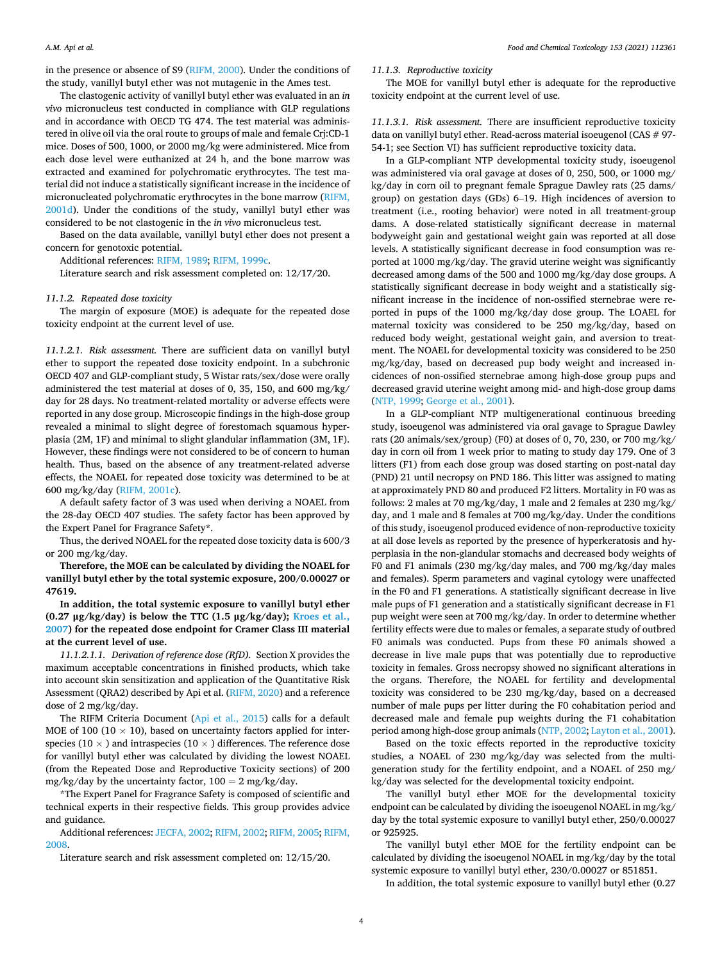in the presence or absence of S9 [\(RIFM, 2000\)](#page-8-0). Under the conditions of the study, vanillyl butyl ether was not mutagenic in the Ames test.

The clastogenic activity of vanillyl butyl ether was evaluated in an *in vivo* micronucleus test conducted in compliance with GLP regulations and in accordance with OECD TG 474. The test material was administered in olive oil via the oral route to groups of male and female Crj:CD-1 mice. Doses of 500, 1000, or 2000 mg/kg were administered. Mice from each dose level were euthanized at 24 h, and the bone marrow was extracted and examined for polychromatic erythrocytes. The test material did not induce a statistically significant increase in the incidence of micronucleated polychromatic erythrocytes in the bone marrow [\(RIFM,](#page-8-0)  [2001d](#page-8-0)). Under the conditions of the study, vanillyl butyl ether was considered to be not clastogenic in the *in vivo* micronucleus test.

Based on the data available, vanillyl butyl ether does not present a concern for genotoxic potential.

Additional references: [RIFM, 1989](#page-8-0); [RIFM, 1999c](#page-8-0).

Literature search and risk assessment completed on: 12/17/20.

## *11.1.2. Repeated dose toxicity*

The margin of exposure (MOE) is adequate for the repeated dose toxicity endpoint at the current level of use.

*11.1.2.1. Risk assessment.* There are sufficient data on vanillyl butyl ether to support the repeated dose toxicity endpoint. In a subchronic OECD 407 and GLP-compliant study, 5 Wistar rats/sex/dose were orally administered the test material at doses of 0, 35, 150, and 600 mg/kg/ day for 28 days. No treatment-related mortality or adverse effects were reported in any dose group. Microscopic findings in the high-dose group revealed a minimal to slight degree of forestomach squamous hyperplasia (2M, 1F) and minimal to slight glandular inflammation (3M, 1F). However, these findings were not considered to be of concern to human health. Thus, based on the absence of any treatment-related adverse effects, the NOAEL for repeated dose toxicity was determined to be at 600 mg/kg/day ([RIFM, 2001c](#page-8-0)).

A default safety factor of 3 was used when deriving a NOAEL from the 28-day OECD 407 studies. The safety factor has been approved by the Expert Panel for Fragrance Safety\*.

Thus, the derived NOAEL for the repeated dose toxicity data is 600/3 or 200 mg/kg/day.

**Therefore, the MOE can be calculated by dividing the NOAEL for vanillyl butyl ether by the total systemic exposure, 200/0.00027 or 47619.** 

**In addition, the total systemic exposure to vanillyl butyl ether (0.27 μg/kg/day) is below the TTC (1.5 μg/kg/day); [Kroes et al.,](#page-8-0)  [2007](#page-8-0)) for the repeated dose endpoint for Cramer Class III material at the current level of use.** 

*11.1.2.1.1. Derivation of reference dose (RfD).* Section X provides the maximum acceptable concentrations in finished products, which take into account skin sensitization and application of the Quantitative Risk Assessment (QRA2) described by Api et al. ([RIFM, 2020\)](#page-8-0) and a reference dose of 2 mg/kg/day.

The RIFM Criteria Document ([Api et al., 2015](#page-7-0)) calls for a default MOE of 100 (10  $\times$  10), based on uncertainty factors applied for interspecies (10  $\times$  ) and intraspecies (10  $\times$  ) differences. The reference dose for vanillyl butyl ether was calculated by dividing the lowest NOAEL (from the Repeated Dose and Reproductive Toxicity sections) of 200 mg/kg/day by the uncertainty factor,  $100 = 2$  mg/kg/day.

\*The Expert Panel for Fragrance Safety is composed of scientific and technical experts in their respective fields. This group provides advice and guidance.

Additional references: [JECFA, 2002](#page-8-0); [RIFM, 2002](#page-8-0); [RIFM, 2005](#page-8-0); [RIFM,](#page-8-0)  [2008.](#page-8-0)

Literature search and risk assessment completed on: 12/15/20.

*11.1.3. Reproductive toxicity* 

The MOE for vanillyl butyl ether is adequate for the reproductive toxicity endpoint at the current level of use.

*11.1.3.1. Risk assessment.* There are insufficient reproductive toxicity data on vanillyl butyl ether. Read-across material isoeugenol (CAS # 97- 54-1; see Section VI) has sufficient reproductive toxicity data.

In a GLP-compliant NTP developmental toxicity study, isoeugenol was administered via oral gavage at doses of 0, 250, 500, or 1000 mg/ kg/day in corn oil to pregnant female Sprague Dawley rats (25 dams/ group) on gestation days (GDs) 6–19. High incidences of aversion to treatment (i.e., rooting behavior) were noted in all treatment-group dams. A dose-related statistically significant decrease in maternal bodyweight gain and gestational weight gain was reported at all dose levels. A statistically significant decrease in food consumption was reported at 1000 mg/kg/day. The gravid uterine weight was significantly decreased among dams of the 500 and 1000 mg/kg/day dose groups. A statistically significant decrease in body weight and a statistically significant increase in the incidence of non-ossified sternebrae were reported in pups of the 1000 mg/kg/day dose group. The LOAEL for maternal toxicity was considered to be 250 mg/kg/day, based on reduced body weight, gestational weight gain, and aversion to treatment. The NOAEL for developmental toxicity was considered to be 250 mg/kg/day, based on decreased pup body weight and increased incidences of non-ossified sternebrae among high-dose group pups and decreased gravid uterine weight among mid- and high-dose group dams ([NTP, 1999](#page-8-0); [George et al., 2001\)](#page-8-0).

In a GLP-compliant NTP multigenerational continuous breeding study, isoeugenol was administered via oral gavage to Sprague Dawley rats (20 animals/sex/group) (F0) at doses of 0, 70, 230, or 700 mg/kg/ day in corn oil from 1 week prior to mating to study day 179. One of 3 litters (F1) from each dose group was dosed starting on post-natal day (PND) 21 until necropsy on PND 186. This litter was assigned to mating at approximately PND 80 and produced F2 litters. Mortality in F0 was as follows: 2 males at 70 mg/kg/day, 1 male and 2 females at 230 mg/kg/ day, and 1 male and 8 females at 700 mg/kg/day. Under the conditions of this study, isoeugenol produced evidence of non-reproductive toxicity at all dose levels as reported by the presence of hyperkeratosis and hyperplasia in the non-glandular stomachs and decreased body weights of F0 and F1 animals (230 mg/kg/day males, and 700 mg/kg/day males and females). Sperm parameters and vaginal cytology were unaffected in the F0 and F1 generations. A statistically significant decrease in live male pups of F1 generation and a statistically significant decrease in F1 pup weight were seen at 700 mg/kg/day. In order to determine whether fertility effects were due to males or females, a separate study of outbred F0 animals was conducted. Pups from these F0 animals showed a decrease in live male pups that was potentially due to reproductive toxicity in females. Gross necropsy showed no significant alterations in the organs. Therefore, the NOAEL for fertility and developmental toxicity was considered to be 230 mg/kg/day, based on a decreased number of male pups per litter during the F0 cohabitation period and decreased male and female pup weights during the F1 cohabitation period among high-dose group animals ([NTP, 2002; Layton et al., 2001](#page-8-0)).

Based on the toxic effects reported in the reproductive toxicity studies, a NOAEL of 230 mg/kg/day was selected from the multigeneration study for the fertility endpoint, and a NOAEL of 250 mg/ kg/day was selected for the developmental toxicity endpoint.

The vanillyl butyl ether MOE for the developmental toxicity endpoint can be calculated by dividing the isoeugenol NOAEL in mg/kg/ day by the total systemic exposure to vanillyl butyl ether, 250/0.00027 or 925925.

The vanillyl butyl ether MOE for the fertility endpoint can be calculated by dividing the isoeugenol NOAEL in mg/kg/day by the total systemic exposure to vanillyl butyl ether, 230/0.00027 or 851851.

In addition, the total systemic exposure to vanillyl butyl ether (0.27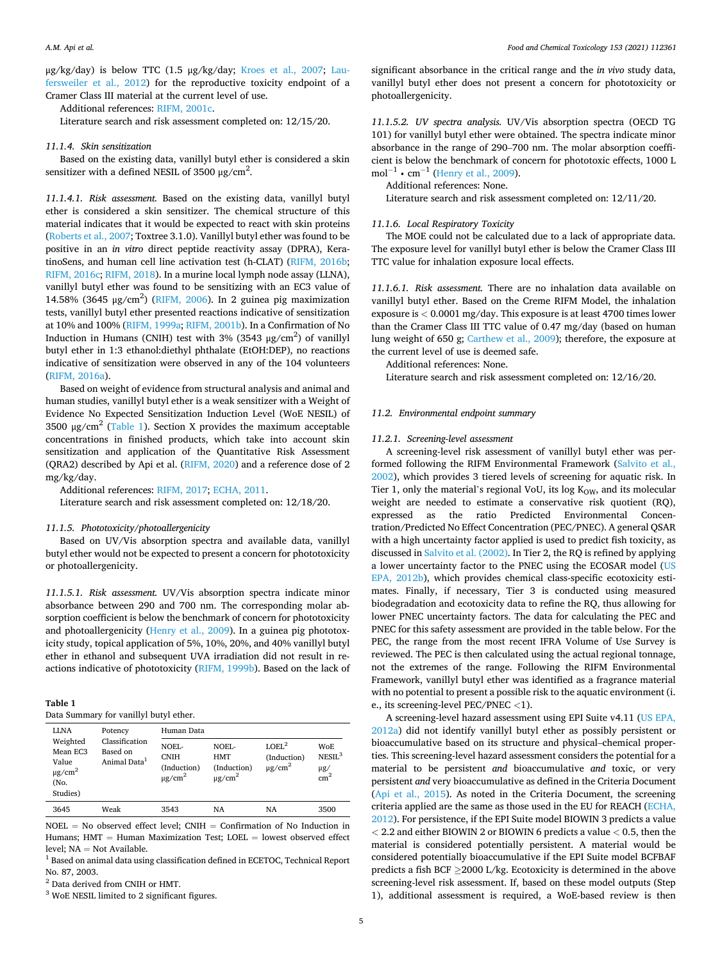μg/kg/day) is below TTC (1.5 μg/kg/day; [Kroes et al., 2007;](#page-8-0) [Lau](#page-8-0)[fersweiler et al., 2012\)](#page-8-0) for the reproductive toxicity endpoint of a Cramer Class III material at the current level of use.

Additional references: [RIFM, 2001c](#page-8-0).

Literature search and risk assessment completed on: 12/15/20.

#### *11.1.4. Skin sensitization*

Based on the existing data, vanillyl butyl ether is considered a skin sensitizer with a defined NESIL of 3500  $\mu$ g/cm<sup>2</sup>.

*11.1.4.1. Risk assessment.* Based on the existing data, vanillyl butyl ether is considered a skin sensitizer. The chemical structure of this material indicates that it would be expected to react with skin proteins ([Roberts et al., 2007;](#page-8-0) Toxtree 3.1.0). Vanillyl butyl ether was found to be positive in an *in vitro* direct peptide reactivity assay (DPRA), KeratinoSens, and human cell line activation test (h-CLAT) ([RIFM, 2016b](#page-8-0); [RIFM, 2016c; RIFM, 2018](#page-8-0)). In a murine local lymph node assay (LLNA), vanillyl butyl ether was found to be sensitizing with an EC3 value of 14.58% (3645 μg/cm<sup>2</sup>) [\(RIFM, 2006](#page-8-0)). In 2 guinea pig maximization tests, vanillyl butyl ether presented reactions indicative of sensitization at 10% and 100% [\(RIFM, 1999a](#page-8-0); [RIFM, 2001b](#page-8-0)). In a Confirmation of No Induction in Humans (CNIH) test with  $3\%$  (3543  $\mu$ g/cm<sup>2</sup>) of vanillyl butyl ether in 1:3 ethanol:diethyl phthalate (EtOH:DEP), no reactions indicative of sensitization were observed in any of the 104 volunteers ([RIFM, 2016a](#page-8-0)).

Based on weight of evidence from structural analysis and animal and human studies, vanillyl butyl ether is a weak sensitizer with a Weight of Evidence No Expected Sensitization Induction Level (WoE NESIL) of 3500  $\mu$ g/cm<sup>2</sup> (Table 1). Section X provides the maximum acceptable concentrations in finished products, which take into account skin sensitization and application of the Quantitative Risk Assessment (QRA2) described by Api et al. [\(RIFM, 2020\)](#page-8-0) and a reference dose of 2 mg/kg/day.

Additional references: [RIFM, 2017](#page-8-0); [ECHA, 2011](#page-7-0).

Literature search and risk assessment completed on: 12/18/20.

#### *11.1.5. Phototoxicity/photoallergenicity*

Based on UV/Vis absorption spectra and available data, vanillyl butyl ether would not be expected to present a concern for phototoxicity or photoallergenicity.

*11.1.5.1. Risk assessment.* UV/Vis absorption spectra indicate minor absorbance between 290 and 700 nm. The corresponding molar absorption coefficient is below the benchmark of concern for phototoxicity and photoallergenicity ([Henry et al., 2009](#page-8-0)). In a guinea pig phototoxicity study, topical application of 5%, 10%, 20%, and 40% vanillyl butyl ether in ethanol and subsequent UVA irradiation did not result in reactions indicative of phototoxicity ([RIFM, 1999b\)](#page-8-0). Based on the lack of

| нι |  |
|----|--|
|    |  |

Data Summary for vanillyl butyl ether.

| LLNA                                                                         | Potency                                                | Human Data                                                     |                                                               |                                                              |                                                          |  |
|------------------------------------------------------------------------------|--------------------------------------------------------|----------------------------------------------------------------|---------------------------------------------------------------|--------------------------------------------------------------|----------------------------------------------------------|--|
| Weighted<br>Mean EC3<br>Value<br>$\mu$ g/cm <sup>2</sup><br>(No.<br>Studies) | Classification<br>Based on<br>Animal Data <sup>1</sup> | NOEL-<br><b>CNIH</b><br>(Induction)<br>$\mu$ g/cm <sup>2</sup> | NOEL-<br><b>HMT</b><br>(Induction)<br>$\mu$ g/cm <sup>2</sup> | LOEI. <sup>2</sup><br>(Induction)<br>$\mu$ g/cm <sup>2</sup> | WoE<br>NESIL <sup>3</sup><br>$\mu$ g/<br>cm <sup>2</sup> |  |
| 3645                                                                         | Weak                                                   | 3543                                                           | NA                                                            | NA                                                           | 3500                                                     |  |

NOEL = No observed effect level; CNIH = Confirmation of No Induction in Humans;  $HMT = Human$  Maximization Test;  $LOEL = lowest$  observed effect level; NA = Not Available.<br><sup>1</sup> Based on animal data using classification defined in ECETOC, Technical Report

No. 87, 2003.<br><sup>2</sup> Data derived from CNIH or HMT.<br><sup>3</sup> WoE NESIL limited to 2 significant figures.

significant absorbance in the critical range and the *in vivo* study data, vanillyl butyl ether does not present a concern for phototoxicity or photoallergenicity.

*11.1.5.2. UV spectra analysis.* UV/Vis absorption spectra (OECD TG 101) for vanillyl butyl ether were obtained. The spectra indicate minor absorbance in the range of 290–700 nm. The molar absorption coefficient is below the benchmark of concern for phototoxic effects, 1000 L mol<sup>-1</sup> • cm<sup>-1</sup> [\(Henry et al., 2009\)](#page-8-0).

Additional references: None.

Literature search and risk assessment completed on: 12/11/20.

# *11.1.6. Local Respiratory Toxicity*

The MOE could not be calculated due to a lack of appropriate data. The exposure level for vanillyl butyl ether is below the Cramer Class III TTC value for inhalation exposure local effects.

*11.1.6.1. Risk assessment.* There are no inhalation data available on vanillyl butyl ether. Based on the Creme RIFM Model, the inhalation exposure is *<* 0.0001 mg/day. This exposure is at least 4700 times lower than the Cramer Class III TTC value of 0.47 mg/day (based on human lung weight of 650 g; [Carthew et al., 2009](#page-7-0)); therefore, the exposure at the current level of use is deemed safe.

Additional references: None.

Literature search and risk assessment completed on: 12/16/20.

## *11.2. Environmental endpoint summary*

#### *11.2.1. Screening-level assessment*

A screening-level risk assessment of vanillyl butyl ether was performed following the RIFM Environmental Framework ([Salvito et al.,](#page-8-0)  [2002\)](#page-8-0), which provides 3 tiered levels of screening for aquatic risk. In Tier 1, only the material's regional VoU, its log K<sub>OW</sub>, and its molecular weight are needed to estimate a conservative risk quotient (RQ), expressed as the ratio Predicted Environmental Concentration/Predicted No Effect Concentration (PEC/PNEC). A general QSAR with a high uncertainty factor applied is used to predict fish toxicity, as discussed in [Salvito et al. \(2002\)](#page-8-0). In Tier 2, the RQ is refined by applying a lower uncertainty factor to the PNEC using the ECOSAR model ([US](#page-8-0)  [EPA, 2012b](#page-8-0)), which provides chemical class-specific ecotoxicity estimates. Finally, if necessary, Tier 3 is conducted using measured biodegradation and ecotoxicity data to refine the RQ, thus allowing for lower PNEC uncertainty factors. The data for calculating the PEC and PNEC for this safety assessment are provided in the table below. For the PEC, the range from the most recent IFRA Volume of Use Survey is reviewed. The PEC is then calculated using the actual regional tonnage, not the extremes of the range. Following the RIFM Environmental Framework, vanillyl butyl ether was identified as a fragrance material with no potential to present a possible risk to the aquatic environment (i. e., its screening-level PEC/PNEC *<*1).

A screening-level hazard assessment using EPI Suite v4.11 ([US EPA,](#page-8-0)  [2012a\)](#page-8-0) did not identify vanillyl butyl ether as possibly persistent or bioaccumulative based on its structure and physical–chemical properties. This screening-level hazard assessment considers the potential for a material to be persistent *and* bioaccumulative *and* toxic, or very persistent *and* very bioaccumulative as defined in the Criteria Document ([Api et al., 2015\)](#page-7-0). As noted in the Criteria Document, the screening criteria applied are the same as those used in the EU for REACH ([ECHA,](#page-7-0)  [2012\)](#page-7-0). For persistence, if the EPI Suite model BIOWIN 3 predicts a value *<* 2.2 and either BIOWIN 2 or BIOWIN 6 predicts a value *<* 0.5, then the material is considered potentially persistent. A material would be considered potentially bioaccumulative if the EPI Suite model BCFBAF predicts a fish BCF  $\geq$  2000 L/kg. Ecotoxicity is determined in the above screening-level risk assessment. If, based on these model outputs (Step 1), additional assessment is required, a WoE-based review is then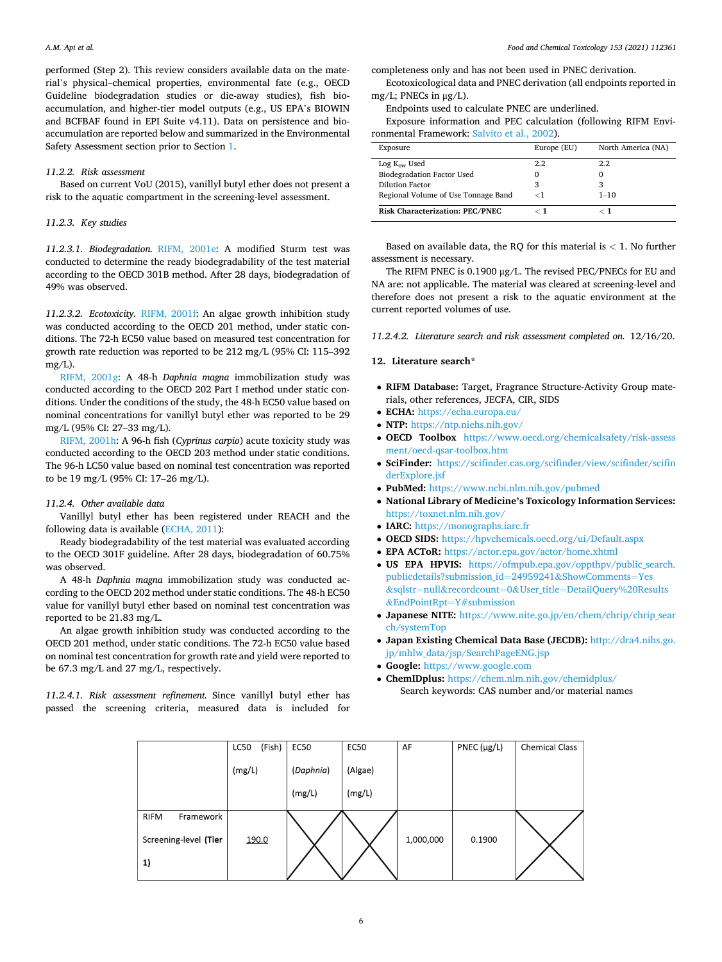performed (Step 2). This review considers available data on the material's physical–chemical properties, environmental fate (e.g., OECD Guideline biodegradation studies or die-away studies), fish bioaccumulation, and higher-tier model outputs (e.g., US EPA's BIOWIN and BCFBAF found in EPI Suite v4.11). Data on persistence and bioaccumulation are reported below and summarized in the Environmental Safety Assessment section prior to Section [1.](#page-1-0)

#### *11.2.2. Risk assessment*

Based on current VoU (2015), vanillyl butyl ether does not present a risk to the aquatic compartment in the screening-level assessment.

# *11.2.3. Key studies*

*11.2.3.1. Biodegradation.* [RIFM, 2001e](#page-8-0): A modified Sturm test was conducted to determine the ready biodegradability of the test material according to the OECD 301B method. After 28 days, biodegradation of 49% was observed.

*11.2.3.2. Ecotoxicity.* [RIFM, 2001f:](#page-8-0) An algae growth inhibition study was conducted according to the OECD 201 method, under static conditions. The 72-h EC50 value based on measured test concentration for growth rate reduction was reported to be 212 mg/L (95% CI: 115–392  $mg/L$ ).

[RIFM, 2001g](#page-8-0): A 48-h *Daphnia magna* immobilization study was conducted according to the OECD 202 Part I method under static conditions. Under the conditions of the study, the 48-h EC50 value based on nominal concentrations for vanillyl butyl ether was reported to be 29 mg/L (95% CI: 27–33 mg/L).

[RIFM, 2001h:](#page-8-0) A 96-h fish (*Cyprinus carpio*) acute toxicity study was conducted according to the OECD 203 method under static conditions. The 96-h LC50 value based on nominal test concentration was reported to be 19 mg/L (95% CI: 17–26 mg/L).

#### *11.2.4. Other available data*

Vanillyl butyl ether has been registered under REACH and the following data is available [\(ECHA, 2011\)](#page-7-0):

Ready biodegradability of the test material was evaluated according to the OECD 301F guideline. After 28 days, biodegradation of 60.75% was observed.

A 48-h *Daphnia magna* immobilization study was conducted according to the OECD 202 method under static conditions. The 48-h EC50 value for vanillyl butyl ether based on nominal test concentration was reported to be 21.83 mg/L.

An algae growth inhibition study was conducted according to the OECD 201 method, under static conditions. The 72-h EC50 value based on nominal test concentration for growth rate and yield were reported to be 67.3 mg/L and 27 mg/L, respectively.

*11.2.4.1. Risk assessment refinement.* Since vanillyl butyl ether has passed the screening criteria, measured data is included for

completeness only and has not been used in PNEC derivation.

Ecotoxicological data and PNEC derivation (all endpoints reported in mg/L; PNECs in μg/L).

Endpoints used to calculate PNEC are underlined.

Exposure information and PEC calculation (following RIFM Environmental Framework: [Salvito et al., 2002\)](#page-8-0).

| Exposure                               | Europe (EU) | North America (NA) |
|----------------------------------------|-------------|--------------------|
| Log K <sub>ow</sub> Used               | 2.2         | 2.2                |
| <b>Biodegradation Factor Used</b>      | $\Omega$    | 0                  |
| Dilution Factor                        | 3           | 3                  |
| Regional Volume of Use Tonnage Band    | ←1          | $1 - 10$           |
| <b>Risk Characterization: PEC/PNEC</b> | - 1         | - 1                |

Based on available data, the RQ for this material is *<* 1. No further assessment is necessary.

The RIFM PNEC is 0.1900 μg/L. The revised PEC/PNECs for EU and NA are: not applicable. The material was cleared at screening-level and therefore does not present a risk to the aquatic environment at the current reported volumes of use.

*11.2.4.2. Literature search and risk assessment completed on.* 12/16/20.

# **12. Literature search\***

- **RIFM Database:** Target, Fragrance Structure-Activity Group materials, other references, JECFA, CIR, SIDS
- **ECHA:** <https://echa.europa.eu/>
- **NTP:** <https://ntp.niehs.nih.gov/>
- **OECD Toolbox** [https://www.oecd.org/chemicalsafety/risk-assess](https://www.oecd.org/chemicalsafety/risk-assessment/oecd-qsar-toolbox.htm)  [ment/oecd-qsar-toolbox.htm](https://www.oecd.org/chemicalsafety/risk-assessment/oecd-qsar-toolbox.htm)
- **SciFinder:** [https://scifinder.cas.org/scifinder/view/scifinder/scifin](https://scifinder.cas.org/scifinder/view/scifinder/scifinderExplore.jsf)  [derExplore.jsf](https://scifinder.cas.org/scifinder/view/scifinder/scifinderExplore.jsf)
- **PubMed:** <https://www.ncbi.nlm.nih.gov/pubmed>
- **National Library of Medicine's Toxicology Information Services:**  <https://toxnet.nlm.nih.gov/>
- **IARC:** <https://monographs.iarc.fr>
- **OECD SIDS:** <https://hpvchemicals.oecd.org/ui/Default.aspx>
- **EPA ACToR:** <https://actor.epa.gov/actor/home.xhtml>
- **US EPA HPVIS:** https://ofmpub.epa.gov/oppthpv/public search. [publicdetails?submission\\_id](https://ofmpub.epa.gov/oppthpv/public_search.publicdetails?submission_id=24959241&ShowComments=Yes&sqlstr=null&recordcount=0&User_title=DetailQuery%20Results&EndPointRpt=Y#submission)=24959241&ShowComments=Yes &sqlstr=null&recordcount=0&User\_title=[DetailQuery%20Results](https://ofmpub.epa.gov/oppthpv/public_search.publicdetails?submission_id=24959241&ShowComments=Yes&sqlstr=null&recordcount=0&User_title=DetailQuery%20Results&EndPointRpt=Y#submission) &EndPointRpt=[Y#submission](https://ofmpub.epa.gov/oppthpv/public_search.publicdetails?submission_id=24959241&ShowComments=Yes&sqlstr=null&recordcount=0&User_title=DetailQuery%20Results&EndPointRpt=Y#submission)
- **Japanese NITE:** [https://www.nite.go.jp/en/chem/chrip/chrip\\_sear](https://www.nite.go.jp/en/chem/chrip/chrip_search/systemTop)  [ch/systemTop](https://www.nite.go.jp/en/chem/chrip/chrip_search/systemTop)
- **Japan Existing Chemical Data Base (JECDB):** [http://dra4.nihs.go.](http://dra4.nihs.go.jp/mhlw_data/jsp/SearchPageENG.jsp)  [jp/mhlw\\_data/jsp/SearchPageENG.jsp](http://dra4.nihs.go.jp/mhlw_data/jsp/SearchPageENG.jsp)
- **Google:** <https://www.google.com>
- **ChemIDplus:** <https://chem.nlm.nih.gov/chemidplus/> Search keywords: CAS number and/or material names

|                          | (Fish)<br>LC50 | <b>EC50</b> | <b>EC50</b> | AF        | PNEC $(\mu g/L)$ | <b>Chemical Class</b> |
|--------------------------|----------------|-------------|-------------|-----------|------------------|-----------------------|
|                          | (mg/L)         | (Daphnia)   | (Algae)     |           |                  |                       |
|                          |                | (mg/L)      | (mg/L)      |           |                  |                       |
| <b>RIFM</b><br>Framework |                |             |             |           |                  |                       |
| Screening-level (Tier    | 190.0          |             |             | 1,000,000 | 0.1900           |                       |
| 1)                       |                |             |             |           |                  |                       |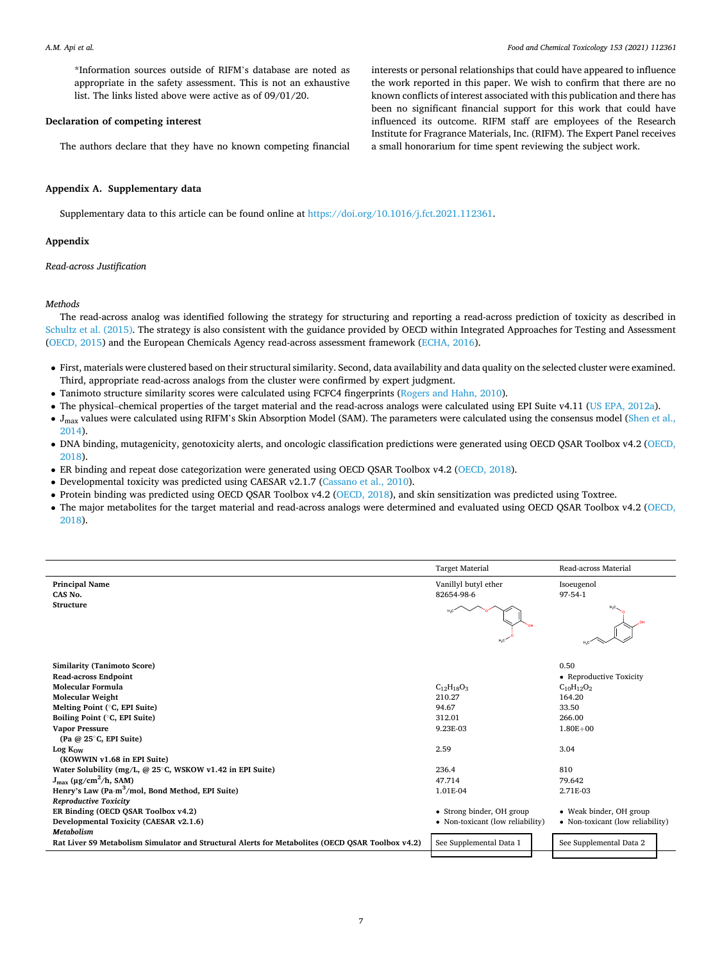\*Information sources outside of RIFM's database are noted as appropriate in the safety assessment. This is not an exhaustive list. The links listed above were active as of 09/01/20.

## **Declaration of competing interest**

The authors declare that they have no known competing financial

**Appendix A. Supplementary data** 

Supplementary data to this article can be found online at [https://doi.org/10.1016/j.fct.2021.112361.](https://doi.org/10.1016/j.fct.2021.112361)

## **Appendix**

*Read-across Justification* 

## *Methods*

The read-across analog was identified following the strategy for structuring and reporting a read-across prediction of toxicity as described in [Schultz et al. \(2015\)](#page-8-0). The strategy is also consistent with the guidance provided by OECD within Integrated Approaches for Testing and Assessment ([OECD, 2015](#page-8-0)) and the European Chemicals Agency read-across assessment framework [\(ECHA, 2016\)](#page-7-0).

- First, materials were clustered based on their structural similarity. Second, data availability and data quality on the selected cluster were examined. Third, appropriate read-across analogs from the cluster were confirmed by expert judgment.
- Tanimoto structure similarity scores were calculated using FCFC4 fingerprints ([Rogers and Hahn, 2010](#page-8-0)).
- The physical–chemical properties of the target material and the read-across analogs were calculated using EPI Suite v4.11 ([US EPA, 2012a](#page-8-0)).
- J<sub>max</sub> values were calculated using RIFM's Skin Absorption Model (SAM). The parameters were calculated using the consensus model (Shen et al., [2014](#page-8-0)).
- DNA binding, mutagenicity, genotoxicity alerts, and oncologic classification predictions were generated using OECD QSAR Toolbox v4.2 [\(OECD,](#page-8-0)  [2018](#page-8-0)).
- ER binding and repeat dose categorization were generated using OECD QSAR Toolbox v4.2 [\(OECD, 2018\)](#page-8-0).
- Developmental toxicity was predicted using CAESAR v2.1.7 [\(Cassano et al., 2010](#page-7-0)).
- Protein binding was predicted using OECD QSAR Toolbox v4.2 ([OECD, 2018](#page-8-0)), and skin sensitization was predicted using Toxtree.
- The major metabolites for the target material and read-across analogs were determined and evaluated using OECD OSAR Toolbox v4.2 (OECD, [2018](#page-8-0)).

|                                                                                                  | <b>Target Material</b>           | Read-across Material             |
|--------------------------------------------------------------------------------------------------|----------------------------------|----------------------------------|
| <b>Principal Name</b>                                                                            | Vanillyl butyl ether             | Isoeugenol                       |
| CAS No.                                                                                          | 82654-98-6                       | 97-54-1                          |
| <b>Structure</b>                                                                                 |                                  |                                  |
| <b>Similarity (Tanimoto Score)</b>                                                               |                                  | 0.50                             |
| <b>Read-across Endpoint</b>                                                                      |                                  | • Reproductive Toxicity          |
| Molecular Formula                                                                                | $C_{12}H_{18}O_3$                | $C_{10}H_{12}O_2$                |
| <b>Molecular Weight</b>                                                                          | 210.27                           | 164.20                           |
| Melting Point (°C, EPI Suite)                                                                    | 94.67                            | 33.50                            |
| Boiling Point (°C, EPI Suite)                                                                    | 312.01                           | 266.00                           |
| <b>Vapor Pressure</b>                                                                            | 9.23E-03                         | $1.80E + 00$                     |
| (Pa $@$ 25 $°C$ , EPI Suite)                                                                     |                                  |                                  |
| Log K <sub>OW</sub>                                                                              | 2.59                             | 3.04                             |
| (KOWWIN v1.68 in EPI Suite)                                                                      |                                  |                                  |
| Water Solubility (mg/L, $@$ 25 $°C$ , WSKOW v1.42 in EPI Suite)                                  | 236.4                            | 810                              |
| $J_{max}$ (µg/cm <sup>2</sup> /h, SAM)                                                           | 47.714                           | 79.642                           |
| Henry's Law (Pa·m <sup>3</sup> /mol, Bond Method, EPI Suite)                                     | 1.01E-04                         | 2.71E-03                         |
| Reproductive Toxicity                                                                            |                                  |                                  |
| ER Binding (OECD QSAR Toolbox v4.2)                                                              | • Strong binder, OH group        | • Weak binder, OH group          |
| Developmental Toxicity (CAESAR v2.1.6)                                                           | • Non-toxicant (low reliability) | • Non-toxicant (low reliability) |
| <b>Metabolism</b>                                                                                |                                  |                                  |
| Rat Liver S9 Metabolism Simulator and Structural Alerts for Metabolites (OECD OSAR Toolbox v4.2) | See Supplemental Data 1          | See Supplemental Data 2          |

interests or personal relationships that could have appeared to influence the work reported in this paper. We wish to confirm that there are no known conflicts of interest associated with this publication and there has been no significant financial support for this work that could have influenced its outcome. RIFM staff are employees of the Research Institute for Fragrance Materials, Inc. (RIFM). The Expert Panel receives a small honorarium for time spent reviewing the subject work.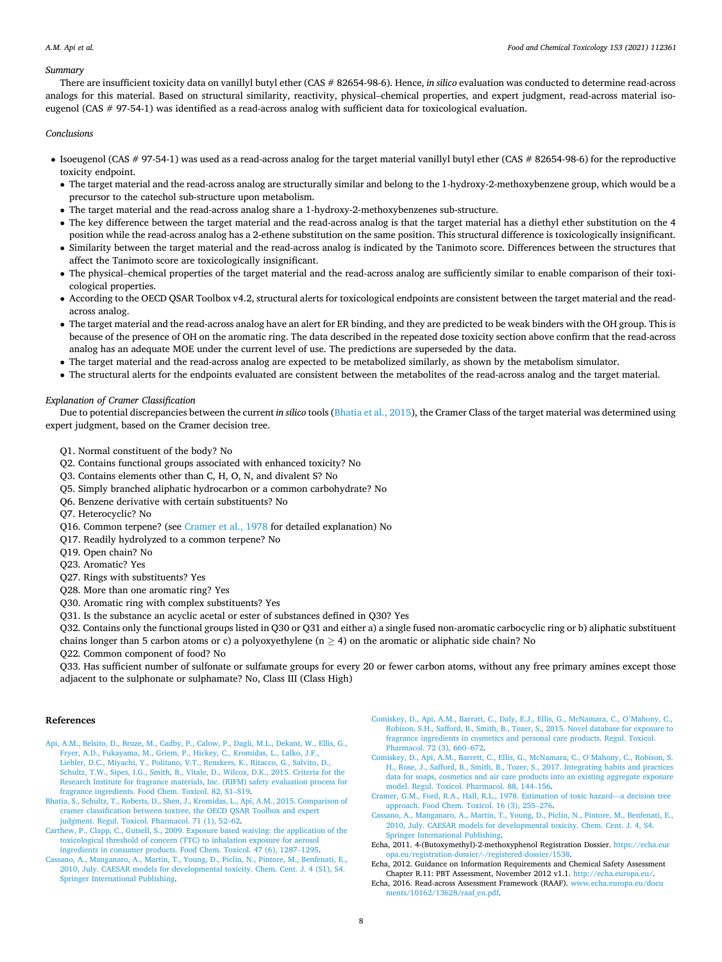## <span id="page-7-0"></span>*Summary*

There are insufficient toxicity data on vanillyl butyl ether (CAS # 82654-98-6). Hence, *in silico* evaluation was conducted to determine read-across analogs for this material. Based on structural similarity, reactivity, physical–chemical properties, and expert judgment, read-across material isoeugenol (CAS # 97-54-1) was identified as a read-across analog with sufficient data for toxicological evaluation.

# *Conclusions*

- Isoeugenol (CAS # 97-54-1) was used as a read-across analog for the target material vanillyl butyl ether (CAS # 82654-98-6) for the reproductive toxicity endpoint.
	- The target material and the read-across analog are structurally similar and belong to the 1-hydroxy-2-methoxybenzene group, which would be a precursor to the catechol sub-structure upon metabolism.
	- The target material and the read-across analog share a 1-hydroxy-2-methoxybenzenes sub-structure.
	- The key difference between the target material and the read-across analog is that the target material has a diethyl ether substitution on the 4 position while the read-across analog has a 2-ethene substitution on the same position. This structural difference is toxicologically insignificant.
	- Similarity between the target material and the read-across analog is indicated by the Tanimoto score. Differences between the structures that affect the Tanimoto score are toxicologically insignificant.
	- The physical–chemical properties of the target material and the read-across analog are sufficiently similar to enable comparison of their toxicological properties.
	- According to the OECD QSAR Toolbox v4.2, structural alerts for toxicological endpoints are consistent between the target material and the readacross analog.
	- The target material and the read-across analog have an alert for ER binding, and they are predicted to be weak binders with the OH group. This is because of the presence of OH on the aromatic ring. The data described in the repeated dose toxicity section above confirm that the read-across analog has an adequate MOE under the current level of use. The predictions are superseded by the data.
	- The target material and the read-across analog are expected to be metabolized similarly, as shown by the metabolism simulator.
	- The structural alerts for the endpoints evaluated are consistent between the metabolites of the read-across analog and the target material.

## *Explanation of Cramer Classification*

Due to potential discrepancies between the current *in silico* tools (Bhatia et al., 2015), the Cramer Class of the target material was determined using expert judgment, based on the Cramer decision tree.

- Q1. Normal constituent of the body? No
- Q2. Contains functional groups associated with enhanced toxicity? No
- Q3. Contains elements other than C, H, O, N, and divalent S? No
- Q5. Simply branched aliphatic hydrocarbon or a common carbohydrate? No
- Q6. Benzene derivative with certain substituents? No
- Q7. Heterocyclic? No
- Q16. Common terpene? (see Cramer et al., 1978 for detailed explanation) No
- Q17. Readily hydrolyzed to a common terpene? No
- Q19. Open chain? No
- Q23. Aromatic? Yes
- Q27. Rings with substituents? Yes
- Q28. More than one aromatic ring? Yes
- Q30. Aromatic ring with complex substituents? Yes
- Q31. Is the substance an acyclic acetal or ester of substances defined in Q30? Yes

Q32. Contains only the functional groups listed in Q30 or Q31 and either a) a single fused non-aromatic carbocyclic ring or b) aliphatic substituent chains longer than 5 carbon atoms or c) a polyoxyethylene ( $n \ge 4$ ) on the aromatic or aliphatic side chain? No

Q22. Common component of food? No

Q33. Has sufficient number of sulfonate or sulfamate groups for every 20 or fewer carbon atoms, without any free primary amines except those adjacent to the sulphonate or sulphamate? No, Class III (Class High)

# **References**

- [Api, A.M., Belsito, D., Bruze, M., Cadby, P., Calow, P., Dagli, M.L., Dekant, W., Ellis, G.,](http://refhub.elsevier.com/S0278-6915(21)00394-X/sref1)  [Fryer, A.D., Fukayama, M., Griem, P., Hickey, C., Kromidas, L., Lalko, J.F.,](http://refhub.elsevier.com/S0278-6915(21)00394-X/sref1)  [Liebler, D.C., Miyachi, Y., Politano, V.T., Renskers, K., Ritacco, G., Salvito, D.,](http://refhub.elsevier.com/S0278-6915(21)00394-X/sref1)  [Schultz, T.W., Sipes, I.G., Smith, B., Vitale, D., Wilcox, D.K., 2015. Criteria for the](http://refhub.elsevier.com/S0278-6915(21)00394-X/sref1)  [Research Institute for fragrance materials, Inc. \(RIFM\) safety evaluation process for](http://refhub.elsevier.com/S0278-6915(21)00394-X/sref1)  [fragrance ingredients. Food Chem. Toxicol. 82, S1](http://refhub.elsevier.com/S0278-6915(21)00394-X/sref1)–S19.
- [Bhatia, S., Schultz, T., Roberts, D., Shen, J., Kromidas, L., Api, A.M., 2015. Comparison of](http://refhub.elsevier.com/S0278-6915(21)00394-X/sref2)  [cramer classification between toxtree, the OECD QSAR Toolbox and expert](http://refhub.elsevier.com/S0278-6915(21)00394-X/sref2)  [judgment. Regul. Toxicol. Pharmacol. 71 \(1\), 52](http://refhub.elsevier.com/S0278-6915(21)00394-X/sref2)–62.
- [Carthew, P., Clapp, C., Gutsell, S., 2009. Exposure based waiving: the application of the](http://refhub.elsevier.com/S0278-6915(21)00394-X/sref3)  [toxicological threshold of concern \(TTC\) to inhalation exposure for aerosol](http://refhub.elsevier.com/S0278-6915(21)00394-X/sref3) [ingredients in consumer products. Food Chem. Toxicol. 47 \(6\), 1287](http://refhub.elsevier.com/S0278-6915(21)00394-X/sref3)–1295.
- [Cassano, A., Manganaro, A., Martin, T., Young, D., Piclin, N., Pintore, M., Benfenati, E.,](http://refhub.elsevier.com/S0278-6915(21)00394-X/sref4)  [2010, July. CAESAR models for developmental toxicity. Chem. Cent. J. 4 \(S1\), S4.](http://refhub.elsevier.com/S0278-6915(21)00394-X/sref4)  [Springer International Publishing](http://refhub.elsevier.com/S0278-6915(21)00394-X/sref4).
- [Comiskey, D., Api, A.M., Barratt, C., Daly, E.J., Ellis, G., McNamara, C., O](http://refhub.elsevier.com/S0278-6915(21)00394-X/sref5)'Mahony, C., [Robison, S.H., Safford, B., Smith, B., Tozer, S., 2015. Novel database for exposure to](http://refhub.elsevier.com/S0278-6915(21)00394-X/sref5)  [fragrance ingredients in cosmetics and personal care products. Regul. Toxicol.](http://refhub.elsevier.com/S0278-6915(21)00394-X/sref5) [Pharmacol. 72 \(3\), 660](http://refhub.elsevier.com/S0278-6915(21)00394-X/sref5)–672.
- [Comiskey, D., Api, A.M., Barrett, C., Ellis, G., McNamara, C., O](http://refhub.elsevier.com/S0278-6915(21)00394-X/sref6)'Mahony, C., Robison, S. [H., Rose, J., Safford, B., Smith, B., Tozer, S., 2017. Integrating habits and practices](http://refhub.elsevier.com/S0278-6915(21)00394-X/sref6)  [data for soaps, cosmetics and air care products into an existing aggregate exposure](http://refhub.elsevier.com/S0278-6915(21)00394-X/sref6)  [model. Regul. Toxicol. Pharmacol. 88, 144](http://refhub.elsevier.com/S0278-6915(21)00394-X/sref6)–156.
- [Cramer, G.M., Ford, R.A., Hall, R.L., 1978. Estimation of toxic hazard](http://refhub.elsevier.com/S0278-6915(21)00394-X/sref7)—a decision tree [approach. Food Chem. Toxicol. 16 \(3\), 255](http://refhub.elsevier.com/S0278-6915(21)00394-X/sref7)–276.
- [Cassano, A., Manganaro, A., Martin, T., Young, D., Piclin, N., Pintore, M., Benfenati, E.,](http://refhub.elsevier.com/S0278-6915(21)00394-X/sref8)  [2010, July. CAESAR models for developmental toxicity. Chem. Cent. J. 4, S4.](http://refhub.elsevier.com/S0278-6915(21)00394-X/sref8)  [Springer International Publishing](http://refhub.elsevier.com/S0278-6915(21)00394-X/sref8).
- Echa, 2011. 4-(Butoxymethyl)-2-methoxyphenol Registration Dossier. [https://echa.eur](https://echa.europa.eu/registration-dossier/-/registered-dossier/1538)  [opa.eu/registration-dossier/-/registered-dossier/1538](https://echa.europa.eu/registration-dossier/-/registered-dossier/1538).

Echa, 2012. Guidance on Information Requirements and Chemical Safety Assessment Chapter R.11: PBT Assessment, November 2012 v1.1. [http://echa.europa.eu/.](http://echa.europa.eu/)

Echa, 2016. Read-across Assessment Framework (RAAF). [www.echa.europa.eu/docu](http://www.echa.europa.eu/documents/10162/13628/raaf_en.pdf) [ments/10162/13628/raaf\\_en.pdf.](http://www.echa.europa.eu/documents/10162/13628/raaf_en.pdf)